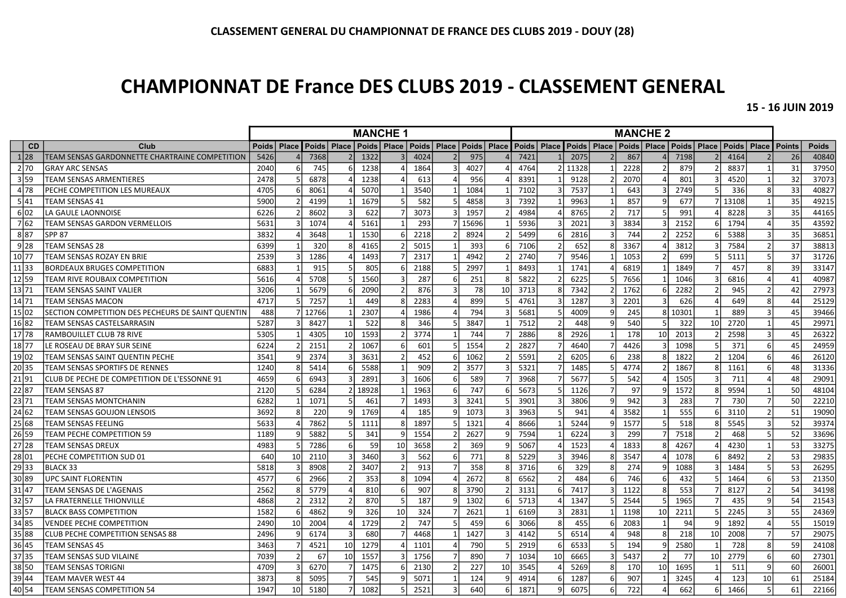## CHAMPIONNAT DE France DES CLUBS 2019 - CLASSEMENT GENERAL

15 - 16 JUIN 2019

|                  |                                                   | <b>MANCHE 1</b>    |                 |               |    |                                               |                 |      | <b>MANCHE 2</b> |       |                 |               |                |       |                       |      |    |       |                       |               |               |               |              |
|------------------|---------------------------------------------------|--------------------|-----------------|---------------|----|-----------------------------------------------|-----------------|------|-----------------|-------|-----------------|---------------|----------------|-------|-----------------------|------|----|-------|-----------------------|---------------|---------------|---------------|--------------|
| <b>CD</b>        | Club                                              | Poids <sup>1</sup> | Place           | Poids   Place |    | Poids   Place   Poids   Place   Poids   Place |                 |      |                 |       |                 | Poids   Place |                |       | Poids   Place   Poids |      |    |       | Place   Poids   Place | Poids   Place |               | <b>Points</b> | <b>Poids</b> |
| 1 28             | TEAM SENSAS GARDONNETTE CHARTRAINE COMPETITION    | 5426               |                 | 7368          |    | 1322                                          |                 | 4024 |                 | 975   |                 | 7421          |                | 2075  |                       | 867  |    | 7198  |                       | 4164          |               | 26            | 40840        |
| 2 70             | <b>GRAY ARC SENSAS</b>                            | 2040               | 6               | 745           |    | 1238                                          |                 | 1864 |                 | 4027  |                 | 4764          | $\overline{2}$ | 11328 | $\mathbf{1}$          | 2228 |    | 879   |                       | 8837          |               | 31            | 37950        |
| 3 59             | <b>TEAM SENSAS ARMENTIERES</b>                    | 2478               |                 | 6878          |    | 1238                                          |                 | 613  |                 | 956   |                 | 8391          |                | 9128  | 2 <sup>1</sup>        | 2070 |    | 801   |                       | 4520          |               | 32            | 37073        |
| 4 78             | PECHE COMPETITION LES MUREAUX                     | 4705               |                 | 8061          |    | 5070                                          |                 | 3540 |                 | 1084  |                 | 7102          |                | 7537  | $\mathbf{1}$          | 643  |    | 2749  |                       | 336           | 8             | 33            | 40827        |
| 5 41             | TEAM SENSAS 41                                    | 5900               |                 | 4199          |    | 1679                                          | 5               | 582  |                 | 4858  |                 | 7392          |                | 9963  | $\vert$ 1             | 857  |    | 677   |                       | 13108         |               | 35            | 49215        |
| 6 02             | LA GAULE LAONNOISE                                | 6226               |                 | 8602          |    | 622                                           |                 | 3073 |                 | 1957  |                 | 4984          |                | 8765  | 2 <sup>1</sup>        | 717  |    | 991   |                       | 8228          |               | 35            | 44165        |
| 7 62             | TEAM SENSAS GARDON VERMELLOIS                     | 5631               |                 | 1074          |    | 5161                                          |                 | 293  |                 | 15696 |                 | 5936          |                | 2021  | $\overline{3}$        | 3834 |    | 2152  |                       | 1794          |               | 35            | 43592        |
| 887              | <b>SPP 87</b>                                     | 3832               |                 | 3648          |    | 1530                                          | $\mathsf{f}$    | 2218 |                 | 8924  |                 | 5499          |                | 2816  | 3                     | 744  |    | 2252  |                       | 5388          | $\mathbf{B}$  | 35            | 36851        |
| 9 28             | <b>TEAM SENSAS 28</b>                             | 6399               |                 | 320           |    | 4165                                          |                 | 5015 |                 | 393   | 6               | 7106          |                | 652   | 8 <sup>1</sup>        | 3367 |    | 3812  |                       | 7584          |               | 37            | 38813        |
| 10 77            | TEAM SENSAS ROZAY EN BRIE                         | 2539               |                 | 1286          |    | 1493                                          |                 | 2317 |                 | 4942  |                 | 2740          |                | 9546  |                       | 1053 |    | 699   |                       | 5111          |               | 37            | 31726        |
| 11 33            | <b>BORDEAUX BRUGES COMPETITION</b>                | 6883               |                 | 915           |    | 805                                           |                 | 2188 |                 | 2997  |                 | 8493          |                | 1741  |                       | 6819 |    | 1849  |                       | 457           | -8            | 39            | 33147        |
| $\frac{1}{2}$ 59 | <b>TEAM RIVE ROUBAIX COMPETITION</b>              | 5616               |                 | 5708          |    | 1560                                          |                 | 287  |                 | 251   |                 | 5822          |                | 6225  | 5                     | 7656 |    | 1046  |                       | 6816          |               | 41            | 40987        |
| 13 71            | <b>TEAM SENSAS SAINT VALIER</b>                   | 3206               |                 | 5679          |    | 2090                                          |                 | 876  |                 | 78    | 10              | 3713          |                | 7342  | $\mathcal{P}$         | 1762 |    | 2282  |                       | 945           |               | 42            | 27973        |
| 14 71            | <b>TEAM SENSAS MACON</b>                          | 4717               |                 | 7257          |    | 449                                           | 8               | 2283 |                 | 899   |                 | 4761          |                | 1287  | $\overline{3}$        | 2201 |    | 626   |                       | 649           | -8            | 44            | 25129        |
| 15 02            | SECTION COMPETITION DES PECHEURS DE SAINT QUENTIN | 488                |                 | 12766         |    | 2307                                          |                 | 1986 |                 | 794   |                 | 5681          |                | 4009  | $\mathbf{q}$          | 245  | Я  | 10301 |                       | 889           |               | 45            | 39466        |
| 16 82            | TEAM SENSAS CASTELSARRASIN                        | 5287               |                 | 8427          |    | 522                                           | 8               | 346  |                 | 3847  |                 | 7512          |                | 448   | 9 <sub>l</sub>        | 540  |    | 322   | 10                    | 2720          |               | 45            | 29971        |
| 17 78            | RAMBOUILLET CLUB 78 RIVE                          | 5305               |                 | 4305          | 10 | 1593                                          |                 | 3774 |                 | 744   |                 | 2886          |                | 2926  | $\mathbf{1}$          | 178  | 10 | 2013  |                       | 2598          | Е             | 45            | 26322        |
| 18 77            | LE ROSEAU DE BRAY SUR SEINE                       | 6224               |                 | 2151          |    | 1067                                          | 6               | 601  |                 | 1554  |                 | 2827          |                | 4640  | 7                     | 4426 |    | 1098  |                       | 371           | 6             | 45            | 24959        |
| 19 02            | TEAM SENSAS SAINT QUENTIN PECHE                   | 3541               |                 | 2374          |    | 3631                                          |                 | 452  |                 | 1062  |                 | 5591          |                | 6205  | $6 \mid$              | 238  |    | 1822  |                       | 1204          | 6             | 46            | 26120        |
| 20 35            | <b>TEAM SENSAS SPORTIFS DE RENNES</b>             | 1240               |                 | 5414          |    | 5588                                          |                 | 909  |                 | 3577  | 3               | 5321          |                | 1485  | 5 <sup>1</sup>        | 4774 |    | 1867  |                       | 1161          | 6             | 48            | 31336        |
| 21 91            | CLUB DE PECHE DE COMPETITION DE L'ESSONNE 91      | 4659               |                 | 6943          |    | 2891                                          | 3               | 1606 | 6               | 589   |                 | 3968          |                | 5677  | 5 <sup>1</sup>        | 542  |    | 1505  |                       | 711           |               | 48            | 29091        |
| 22 87            | <b>TEAM SENSAS 87</b>                             | 2120               |                 | 6284          |    | 18928                                         |                 | 1963 |                 | 747   | 6               | 5673          |                | 1126  | 7                     | 97   |    | 1572  |                       | 9594          |               | 50            | 48104        |
| 23 71            | <b>TEAM SENSAS MONTCHANIN</b>                     | 6282               |                 | 1071          |    | 461                                           |                 | 1493 |                 | 3241  |                 | 3901          | Э              | 3806  | 9                     | 942  |    | 283   |                       | 730           |               | 50            | 22210        |
| 24 62            | TEAM SENSAS GOUJON LENSOIS                        | 3692               |                 | 220           |    | 1769                                          |                 | 185  |                 | 1073  |                 | 3963          |                | 941   | 4                     | 3582 |    | 555   |                       | 3110          | $\mathcal{I}$ | 51            | 19090        |
| 25 68            | TEAM SENSAS FEELING                               | 5633               |                 | 7862          |    | 1111                                          | $\mathsf{R}$    | 1897 |                 | 1321  |                 | 8666          |                | 5244  | q                     | 1577 |    | 518   |                       | 5545          | $\mathbf{B}$  | 52            | 39374        |
| 26 59            | TEAM PECHE COMPETITION 59                         | 1189               |                 | 5882          |    | 341                                           | q               | 1554 |                 | 2627  |                 | 7594          |                | 6224  | 3                     | 299  |    | 7518  |                       | 468           | 5             | 52            | 33696        |
| 27 28            | <b>TEAM SENSAS DREUX</b>                          | 4983               |                 | 7286          |    | 59                                            | 10 <sup>1</sup> | 3658 |                 | 369   |                 | 5067          |                | 1523  | 4                     | 1833 |    | 4267  |                       | 4230          |               | 53            | 33275        |
| 28 01            | PECHE COMPETITION SUD 01                          | 640                | 10              | 2110          |    | 3460                                          | 3               | 562  |                 | 771   | 8               | 5229          |                | 3946  | 8 <sup>1</sup>        | 3547 |    | 1078  |                       | 8492          |               | 53            | 29835        |
| 2933             | BLACK 33                                          | 5818               |                 | 8908          |    | 3407                                          |                 | 913  |                 | 358   |                 | 3716          | f              | 329   | 8                     | 274  |    | 1088  |                       | 1484          | 5             | 53            | 26295        |
| 30 89            | <b>UPC SAINT FLORENTIN</b>                        | 4577               |                 | 2966          |    | 353                                           | 8               | 1094 |                 | 2672  |                 | 6562          |                | 484   | 6                     | 746  |    | 432   |                       | 1464          |               | 53            | 21350        |
| 31 47            | TEAM SENSAS DE L'AGENAIS                          | 2562               |                 | 5779          |    | 810                                           | 6               | 907  |                 | 3790  |                 | 3131          | 6              | 7417  | $\overline{3}$        | 1122 |    | 553   |                       | 8127          |               | 54            | 34198        |
| 32 57            | LA FRATERNELLE THIONVILLE                         | 4868               |                 | 2312          |    | 870                                           | .5              | 187  |                 | 1302  |                 | 5713          |                | 1347  | 5                     | 2544 |    | 1965  |                       | 435           |               | 54            | 21543        |
| 3357             | <b>BLACK BASS COMPETITION</b>                     | 1582               |                 | 4862          |    | 326                                           | 10              | 324  |                 | 2621  |                 | 6169          |                | 2831  | 1                     | 1198 | 10 | 2211  |                       | 2245          | Е             | 55            | 24369        |
| 34 85            | <b>VENDEE PECHE COMPETITION</b>                   | 2490               | 10 <sup>1</sup> | 2004          |    | 1729                                          | $\mathcal{P}$   | 747  |                 | 459   |                 | 3066          |                | 455   | 6                     | 2083 |    | 94    |                       | 1892          |               | 55            | 15019        |
| 35 88            | <b>CLUB PECHE COMPETITION SENSAS 88</b>           | 2496               |                 | 6174          |    | 680                                           |                 | 4468 |                 | 1427  |                 | 4142          |                | 6514  | 4                     | 948  |    | 218   | 10                    | 2008          | 7             | 57            | 29075        |
| 36 45            | <b>TEAM SENSAS 45</b>                             | 3463               |                 | 4521          | 10 | 1279                                          |                 | 1101 |                 | 790   |                 | 2919          |                | 6533  | $\overline{5}$        | 194  |    | 2580  |                       | 728           | -8            | 59            | 24108        |
| 37 35            | TEAM SENSAS SUD VILAINE                           | 7039               |                 | 67            | 10 | 1557                                          |                 | 1756 |                 | 890   |                 | 1034          | 10             | 6665  | $\overline{3}$        | 5437 |    | 77    | 10                    | 2779          | 6             | 60            | 27301        |
| 38 50            | TEAM SENSAS TORIGNI                               | 4709               |                 | 6270          |    | 1475                                          |                 | 2130 |                 | 227   | 10 <sup>1</sup> | 3545          |                | 5269  | 8 <sup>1</sup>        | 170  | 10 | 1695  |                       | 511           | q             | 60            | 26001        |
| 39 44            | TEAM MAVER WEST 44                                | 3873               |                 | 5095          |    | 545                                           | q               | 5071 |                 | 124   | q               | 4914          | 6              | 1287  | $6 \mid$              | 907  |    | 3245  |                       | 123           | 10            | 61            | 25184        |
| 40 54            | <b>TEAM SENSAS COMPETITION 54</b>                 | 1947               | 10 <sup>1</sup> | 5180          |    | 1082                                          | 5               | 2521 |                 | 640   | <sup>6</sup>    | 1871          | q              | 6075  | $6 \mid$              | 722  |    | 662   | 6                     | 1466          | 5             | 61            | 22166        |